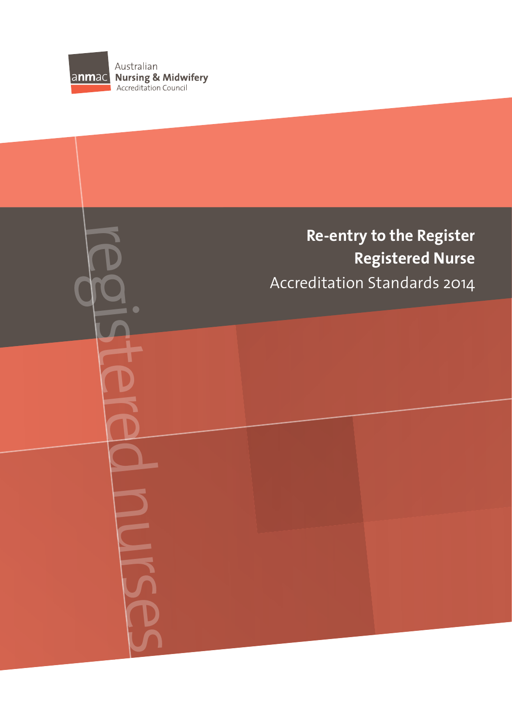

# **Re-entry to the Register Registered Nurse** Re-entry to the Register<br>Registered Nurse<br>Registered Nurse<br>Accreditation Standards 2014<br>Accreditation Standards 2014<br>Department of the Register<br>Registered Nurse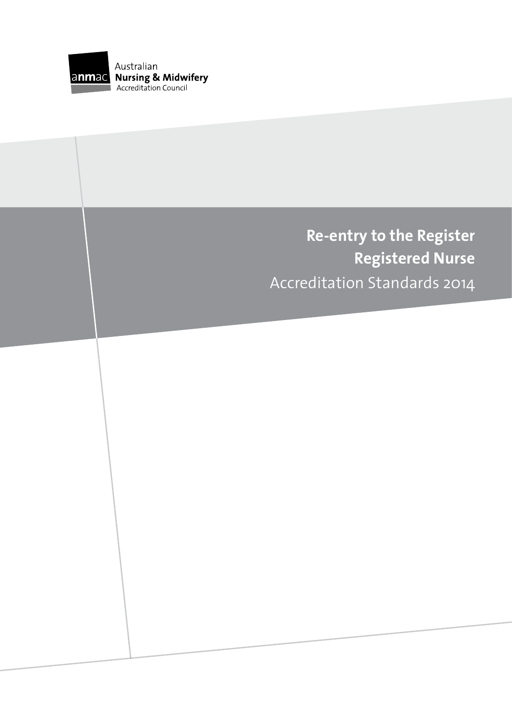

# **Re-entry to the Register Registered Nurse** Accreditation Standards 2014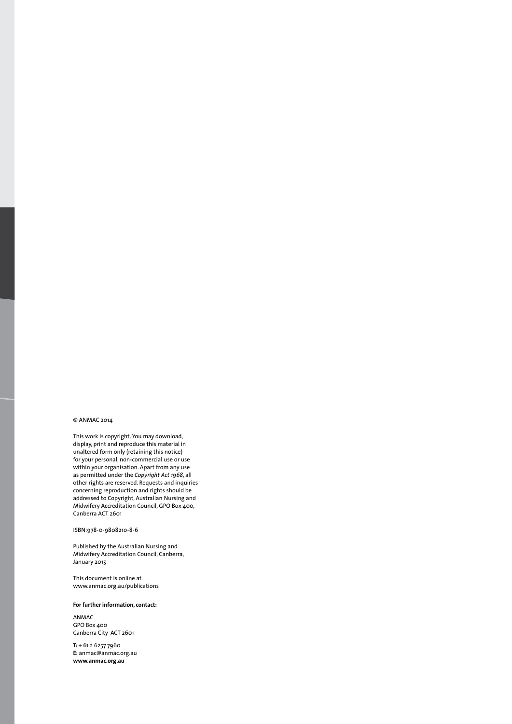#### © ANMAC 2014

This work is copyright. You may download, display, print and reproduce this material in unaltered form only (retaining this notice) for your personal, non-commercial use or use within your organisation. Apart from any use as permitted under the *Copyright Act 1968*, all other rights are reserved. Requests and inquiries concerning reproduction and rights should be addressed to Copyright, Australian Nursing and Midwifery Accreditation Council, GPO Box 400, Canberra ACT 2601

#### ISBN:978-0-9808210-8-6

Published by the Australian Nursing and Midwifery Accreditation Council, Canberra, January 2015

This document is online at www.anmac.org.au/publications

#### **For further information, contact:**

ANMAC GPO Box 400 Canberra City ACT 2601

**T:** + 61 2 6257 7960 **E:** anmac@anmac.org.au **www.anmac.org.au**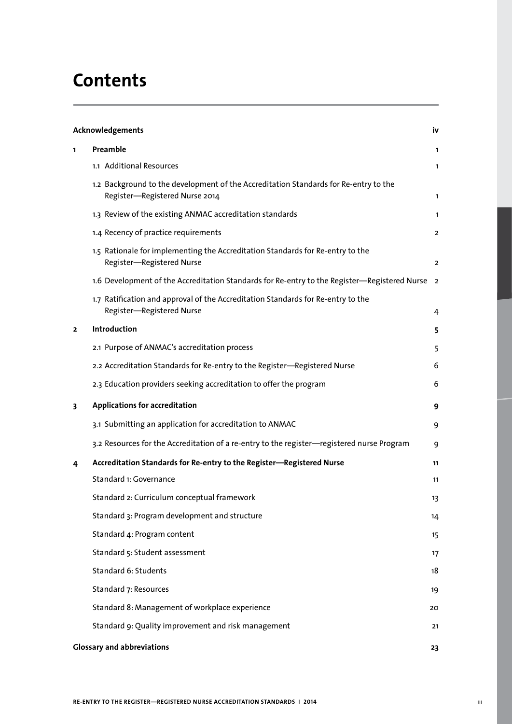# **Contents**

| Acknowledgements        |                                                                                                                        | iv             |
|-------------------------|------------------------------------------------------------------------------------------------------------------------|----------------|
| 1                       | Preamble                                                                                                               | 1              |
|                         | 1.1 Additional Resources                                                                                               | 1              |
|                         | 1.2 Background to the development of the Accreditation Standards for Re-entry to the<br>Register-Registered Nurse 2014 | $\mathbf{1}$   |
|                         | 1.3 Review of the existing ANMAC accreditation standards                                                               | 1              |
|                         | 1.4 Recency of practice requirements                                                                                   | $\overline{2}$ |
|                         | 1.5 Rationale for implementing the Accreditation Standards for Re-entry to the<br>Register-Registered Nurse            | $\overline{2}$ |
|                         | 1.6 Development of the Accreditation Standards for Re-entry to the Register—Registered Nurse                           | $\overline{2}$ |
|                         | 1.7 Ratification and approval of the Accreditation Standards for Re-entry to the<br>Register-Registered Nurse          | 4              |
| $\overline{\mathbf{z}}$ | Introduction                                                                                                           | 5              |
|                         | 2.1 Purpose of ANMAC's accreditation process                                                                           | 5              |
|                         | 2.2 Accreditation Standards for Re-entry to the Register-Registered Nurse                                              | 6              |
|                         | 2.3 Education providers seeking accreditation to offer the program                                                     | 6              |
| 3                       | <b>Applications for accreditation</b>                                                                                  | 9              |
|                         | 3.1 Submitting an application for accreditation to ANMAC                                                               | 9              |
|                         | 3.2 Resources for the Accreditation of a re-entry to the register-registered nurse Program                             | 9              |
| 4                       | Accreditation Standards for Re-entry to the Register-Registered Nurse                                                  | 11             |
|                         | Standard 1: Governance                                                                                                 | 11             |
|                         | Standard 2: Curriculum conceptual framework                                                                            | 13             |
|                         | Standard 3: Program development and structure                                                                          | 14             |
|                         | Standard 4: Program content                                                                                            | 15             |
|                         | Standard 5: Student assessment                                                                                         | 17             |
|                         | Standard 6: Students                                                                                                   | 18             |
|                         | Standard 7: Resources                                                                                                  | 19             |
|                         | Standard 8: Management of workplace experience                                                                         | 20             |
|                         | Standard 9: Quality improvement and risk management                                                                    | 21             |
|                         | <b>Glossary and abbreviations</b><br>23                                                                                |                |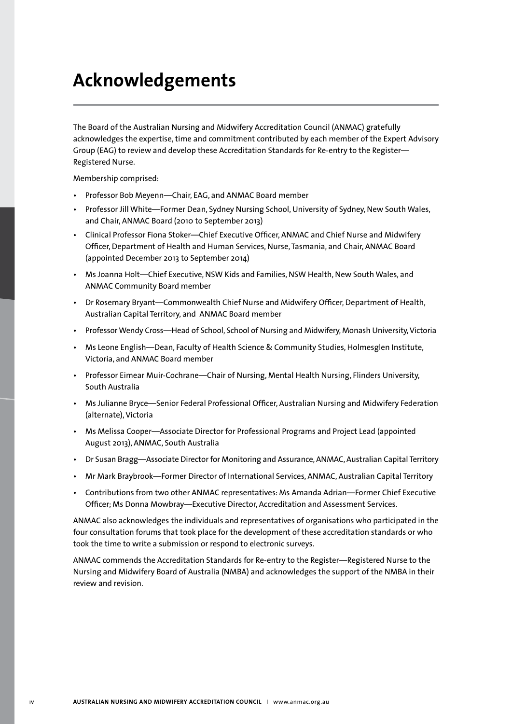# **Acknowledgements**

The Board of the Australian Nursing and Midwifery Accreditation Council (ANMAC) gratefully acknowledges the expertise, time and commitment contributed by each member of the Expert Advisory Group (EAG) to review and develop these Accreditation Standards for Re-entry to the Register— Registered Nurse.

Membership comprised:

- Professor Bob Meyenn—Chair, EAG, and ANMAC Board member
- Professor Jill White—Former Dean, Sydney Nursing School, University of Sydney, New South Wales, and Chair, ANMAC Board (2010 to September 2013)
- Clinical Professor Fiona Stoker—Chief Executive Officer, ANMAC and Chief Nurse and Midwifery Officer, Department of Health and Human Services, Nurse, Tasmania, and Chair, ANMAC Board (appointed December 2013 to September 2014)
- Ms Joanna Holt—Chief Executive, NSW Kids and Families, NSW Health, New South Wales, and ANMAC Community Board member
- Dr Rosemary Bryant—Commonwealth Chief Nurse and Midwifery Officer, Department of Health, Australian Capital Territory, and ANMAC Board member
- Professor Wendy Cross—Head of School, School of Nursing and Midwifery, Monash University, Victoria
- Ms Leone English—Dean, Faculty of Health Science & Community Studies, Holmesglen Institute, Victoria, and ANMAC Board member
- Professor Eimear Muir-Cochrane—Chair of Nursing, Mental Health Nursing, Flinders University, South Australia
- Ms Julianne Bryce—Senior Federal Professional Officer, Australian Nursing and Midwifery Federation (alternate), Victoria
- Ms Melissa Cooper—Associate Director for Professional Programs and Project Lead (appointed August 2013), ANMAC, South Australia
- Dr Susan Bragg—Associate Director for Monitoring and Assurance, ANMAC, Australian Capital Territory
- Mr Mark Braybrook—Former Director of International Services, ANMAC, Australian Capital Territory
- Contributions from two other ANMAC representatives: Ms Amanda Adrian—Former Chief Executive Officer; Ms Donna Mowbray—Executive Director, Accreditation and Assessment Services.

ANMAC also acknowledges the individuals and representatives of organisations who participated in the four consultation forums that took place for the development of these accreditation standards or who took the time to write a submission or respond to electronic surveys.

ANMAC commends the Accreditation Standards for Re-entry to the Register—Registered Nurse to the Nursing and Midwifery Board of Australia (NMBA) and acknowledges the support of the NMBA in their review and revision.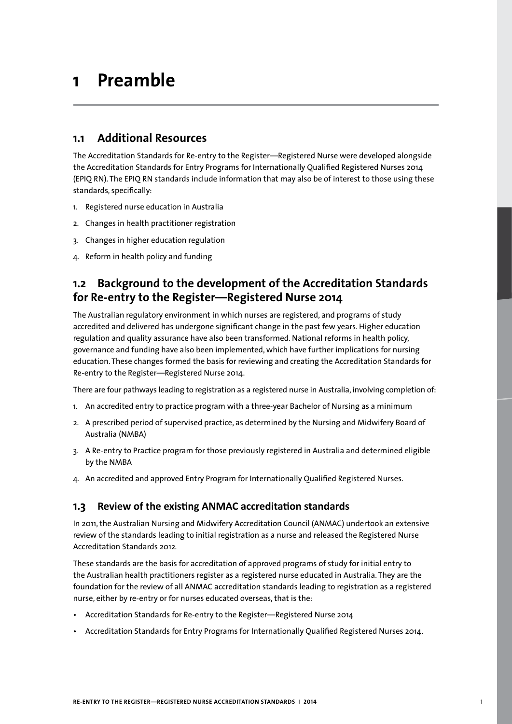# **1 Preamble**

## **1.1 Additional Resources**

The Accreditation Standards for Re-entry to the Register—Registered Nurse were developed alongside the Accreditation Standards for Entry Programs for Internationally Qualified Registered Nurses 2014 (EPIQ RN). The EPIQ RN standards include information that may also be of interest to those using these standards, specifically:

- 1. Registered nurse education in Australia
- 2. Changes in health practitioner registration
- 3. Changes in higher education regulation
- 4. Reform in health policy and funding

# **1.2 Background to the development of the Accreditation Standards for Re-entry to the Register—Registered Nurse 2014**

The Australian regulatory environment in which nurses are registered, and programs of study accredited and delivered has undergone significant change in the past few years. Higher education regulation and quality assurance have also been transformed. National reforms in health policy, governance and funding have also been implemented, which have further implications for nursing education. These changes formed the basis for reviewing and creating the Accreditation Standards for Re-entry to the Register—Registered Nurse 2014.

There are four pathways leading to registration as a registered nurse in Australia, involving completion of:

- 1. An accredited entry to practice program with a three-year Bachelor of Nursing as a minimum
- 2. A prescribed period of supervised practice, as determined by the Nursing and Midwifery Board of Australia (NMBA)
- 3. A Re-entry to Practice program for those previously registered in Australia and determined eligible by the NMBA
- 4. An accredited and approved Entry Program for Internationally Qualified Registered Nurses.

#### **1.3 Review of the existing ANMAC accreditation standards**

In 2011, the Australian Nursing and Midwifery Accreditation Council (ANMAC) undertook an extensive review of the standards leading to initial registration as a nurse and released the Registered Nurse Accreditation Standards 2012*.*

These standards are the basis for accreditation of approved programs of study for initial entry to the Australian health practitioners register as a registered nurse educated in Australia. They are the foundation for the review of all ANMAC accreditation standards leading to registration as a registered nurse, either by re-entry or for nurses educated overseas, that is the:

- Accreditation Standards for Re-entry to the Register—Registered Nurse 2014
- Accreditation Standards for Entry Programs for Internationally Qualified Registered Nurses 2014.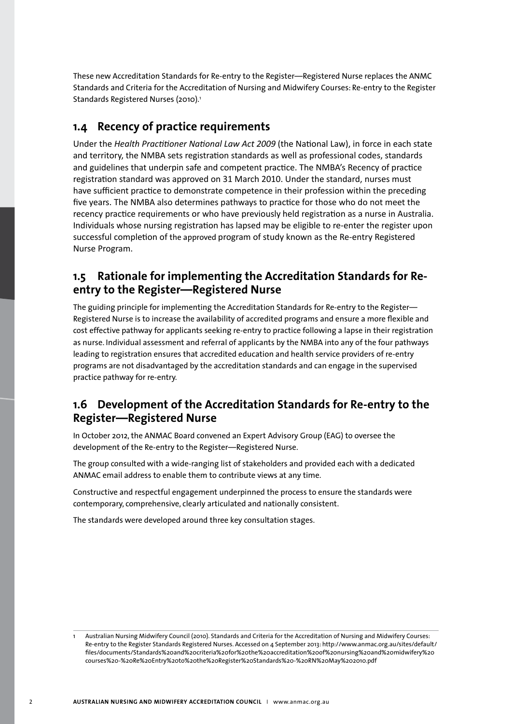These new Accreditation Standards for Re-entry to the Register—Registered Nurse replaces the ANMC Standards and Criteria for the Accreditation of Nursing and Midwifery Courses: Re-entry to the Register Standards Registered Nurses (2010).<sup>1</sup>

# **1.4 Recency of practice requirements**

Under the *Health Practitioner National Law Act 2009* (the National Law), in force in each state and territory, the NMBA sets registration standards as well as professional codes, standards and guidelines that underpin safe and competent practice. The NMBA's Recency of practice registration standard was approved on 31 March 2010. Under the standard, nurses must have sufficient practice to demonstrate competence in their profession within the preceding five years. The NMBA also determines pathways to practice for those who do not meet the recency practice requirements or who have previously held registration as a nurse in Australia. Individuals whose nursing registration has lapsed may be eligible to re-enter the register upon successful completion of the approved program of study known as the Re-entry Registered Nurse Program.

# **1.5 Rationale for implementing the Accreditation Standards for Reentry to the Register—Registered Nurse**

The guiding principle for implementing the Accreditation Standards for Re-entry to the Register— Registered Nurse is to increase the availability of accredited programs and ensure a more flexible and cost effective pathway for applicants seeking re-entry to practice following a lapse in their registration as nurse. Individual assessment and referral of applicants by the NMBA into any of the four pathways leading to registration ensures that accredited education and health service providers of re-entry programs are not disadvantaged by the accreditation standards and can engage in the supervised practice pathway for re-entry.

# **1.6 Development of the Accreditation Standards for Re-entry to the Register—Registered Nurse**

In October 2012, the ANMAC Board convened an Expert Advisory Group (EAG) to oversee the development of the Re-entry to the Register—Registered Nurse.

The group consulted with a wide-ranging list of stakeholders and provided each with a dedicated ANMAC email address to enable them to contribute views at any time.

Constructive and respectful engagement underpinned the process to ensure the standards were contemporary, comprehensive, clearly articulated and nationally consistent.

The standards were developed around three key consultation stages.

Australian Nursing Midwifery Council (2010). Standards and Criteria for the Accreditation of Nursing and Midwifery Courses: Re-entry to the Register Standards Registered Nurses. Accessed on 4 September 2013: http://www.anmac.org.au/sites/default/ files/documents/Standards%20and%20criteria%20for%20the%20accreditation%20of%20nursing%20and%20midwifery%20 courses%20-%20Re%20Entry%20to%20the%20Register%20Standards%20-%20RN%20May%202010.pdf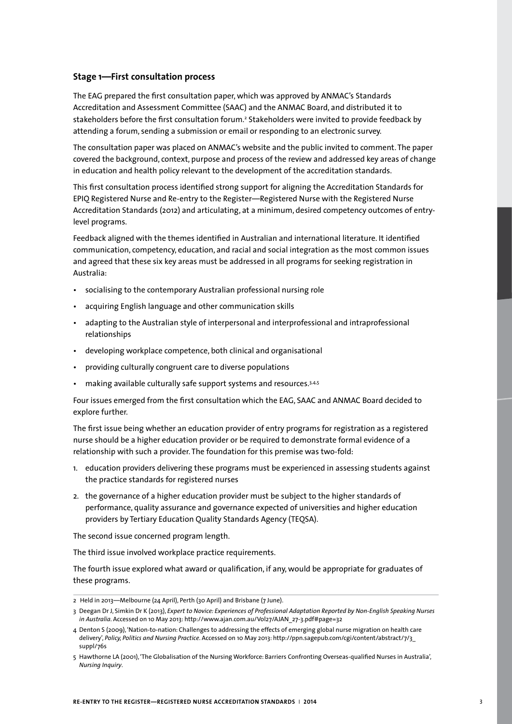#### **Stage 1—First consultation process**

The EAG prepared the first consultation paper, which was approved by ANMAC's Standards Accreditation and Assessment Committee (SAAC) and the ANMAC Board, and distributed it to stakeholders before the first consultation forum.<sup>2</sup> Stakeholders were invited to provide feedback by attending a forum, sending a submission or email or responding to an electronic survey.

The consultation paper was placed on ANMAC's website and the public invited to comment. The paper covered the background, context, purpose and process of the review and addressed key areas of change in education and health policy relevant to the development of the accreditation standards.

This first consultation process identified strong support for aligning the Accreditation Standards for EPIQ Registered Nurse and Re-entry to the Register—Registered Nurse with the Registered Nurse Accreditation Standards (2012) and articulating, at a minimum, desired competency outcomes of entrylevel programs.

Feedback aligned with the themes identified in Australian and international literature. It identified communication, competency, education, and racial and social integration as the most common issues and agreed that these six key areas must be addressed in all programs for seeking registration in Australia:

- socialising to the contemporary Australian professional nursing role
- acquiring English language and other communication skills
- adapting to the Australian style of interpersonal and interprofessional and intraprofessional relationships
- developing workplace competence, both clinical and organisational
- providing culturally congruent care to diverse populations
- making available culturally safe support systems and resources.3,4,5

Four issues emerged from the first consultation which the EAG, SAAC and ANMAC Board decided to explore further.

The first issue being whether an education provider of entry programs for registration as a registered nurse should be a higher education provider or be required to demonstrate formal evidence of a relationship with such a provider. The foundation for this premise was two-fold:

- 1. education providers delivering these programs must be experienced in assessing students against the practice standards for registered nurses
- 2. the governance of a higher education provider must be subject to the higher standards of performance, quality assurance and governance expected of universities and higher education providers by Tertiary Education Quality Standards Agency (TEQSA).

The second issue concerned program length.

The third issue involved workplace practice requirements.

The fourth issue explored what award or qualification, if any, would be appropriate for graduates of these programs.

<sup>2</sup> Held in 2013—Melbourne (24 April), Perth (30 April) and Brisbane (7 June).

<sup>3</sup> Deegan Dr J, Simkin Dr K (2013), *Expert to Novice: Experiences of Professional Adaptation Reported by Non-English Speaking Nurses in Australia*. Accessed on 10 May 2013: http://www.ajan.com.au/Vol27/AJAN\_27-3.pdf#page=32

<sup>4</sup> Denton S (2009), 'Nation-to-nation: Challenges to addressing the effects of emerging global nurse migration on health care delivery', *Policy, Politics and Nursing Practice*. Accessed on 10 May 2013: http://ppn.sagepub.com/cgi/content/abstract/7/3\_ suppl/76s

<sup>5</sup> Hawthorne LA (2001), 'The Globalisation of the Nursing Workforce: Barriers Confronting Overseas-qualified Nurses in Australia', *Nursing Inquiry*.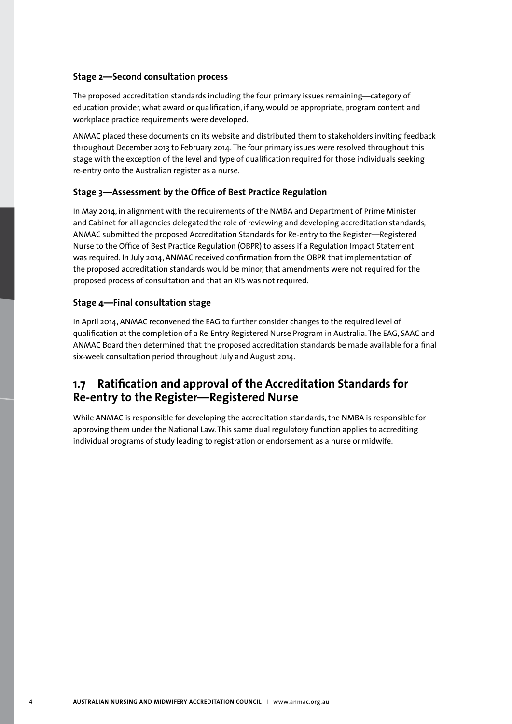#### **Stage 2—Second consultation process**

The proposed accreditation standards including the four primary issues remaining—category of education provider, what award or qualification, if any, would be appropriate, program content and workplace practice requirements were developed.

ANMAC placed these documents on its website and distributed them to stakeholders inviting feedback throughout December 2013 to February 2014. The four primary issues were resolved throughout this stage with the exception of the level and type of qualification required for those individuals seeking re-entry onto the Australian register as a nurse.

#### **Stage 3—Assessment by the Office of Best Practice Regulation**

In May 2014, in alignment with the requirements of the NMBA and Department of Prime Minister and Cabinet for all agencies delegated the role of reviewing and developing accreditation standards, ANMAC submitted the proposed Accreditation Standards for Re-entry to the Register—Registered Nurse to the Office of Best Practice Regulation (OBPR) to assess if a Regulation Impact Statement was required. In July 2014, ANMAC received confirmation from the OBPR that implementation of the proposed accreditation standards would be minor, that amendments were not required for the proposed process of consultation and that an RIS was not required.

#### **Stage 4—Final consultation stage**

In April 2014, ANMAC reconvened the EAG to further consider changes to the required level of qualification at the completion of a Re-Entry Registered Nurse Program in Australia. The EAG, SAAC and ANMAC Board then determined that the proposed accreditation standards be made available for a final six-week consultation period throughout July and August 2014.

# **1.7 Ratification and approval of the Accreditation Standards for Re-entry to the Register—Registered Nurse**

While ANMAC is responsible for developing the accreditation standards, the NMBA is responsible for approving them under the National Law. This same dual regulatory function applies to accrediting individual programs of study leading to registration or endorsement as a nurse or midwife.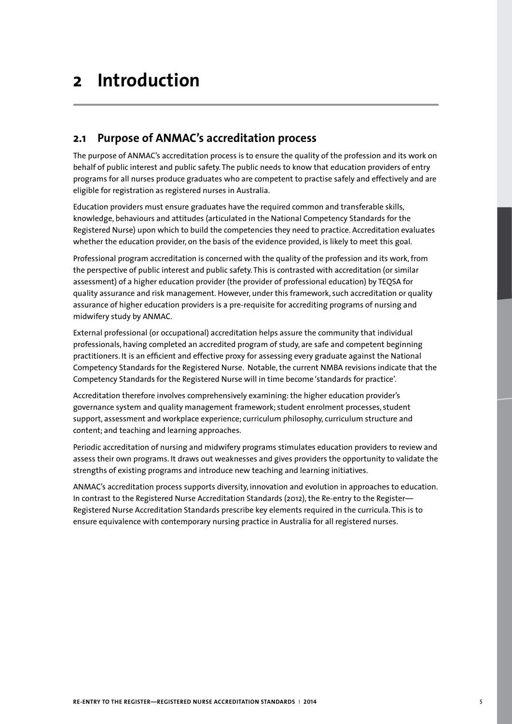# **2 Introduction**

## **2.1 Purpose of ANMAC's accreditation process**

The purpose of ANMAC's accreditation process is to ensure the quality of the profession and its work on behalf of public interest and public safety. The public needs to know that education providers of entry programs for all nurses produce graduates who are competent to practise safely and effectively and are eligible for registration as registered nurses in Australia.

Education providers must ensure graduates have the required common and transferable skills, knowledge, behaviours and attitudes (articulated in the National Competency Standards for the Registered Nurse) upon which to build the competencies they need to practice. Accreditation evaluates whether the education provider, on the basis of the evidence provided, is likely to meet this goal.

Professional program accreditation is concerned with the quality of the profession and its work, from the perspective of public interest and public safety. This is contrasted with accreditation (or similar assessment) of a higher education provider (the provider of professional education) by TEQSA for quality assurance and risk management. However, under this framework, such accreditation or quality assurance of higher education providers is a pre-requisite for accrediting programs of nursing and midwifery study by ANMAC.

External professional (or occupational) accreditation helps assure the community that individual professionals, having completed an accredited program of study, are safe and competent beginning practitioners. It is an efficient and effective proxy for assessing every graduate against the National Competency Standards for the Registered Nurse. Notable, the current NMBA revisions indicate that the Competency Standards for the Registered Nurse will in time become 'standards for practice'.

Accreditation therefore involves comprehensively examining: the higher education provider's governance system and quality management framework; student enrolment processes, student support, assessment and workplace experience; curriculum philosophy, curriculum structure and content; and teaching and learning approaches.

Periodic accreditation of nursing and midwifery programs stimulates education providers to review and assess their own programs. It draws out weaknesses and gives providers the opportunity to validate the strengths of existing programs and introduce new teaching and learning initiatives.

ANMAC's accreditation process supports diversity, innovation and evolution in approaches to education. In contrast to the Registered Nurse Accreditation Standards (2012), the Re-entry to the Register— Registered Nurse Accreditation Standards prescribe key elements required in the curricula. This is to ensure equivalence with contemporary nursing practice in Australia for all registered nurses.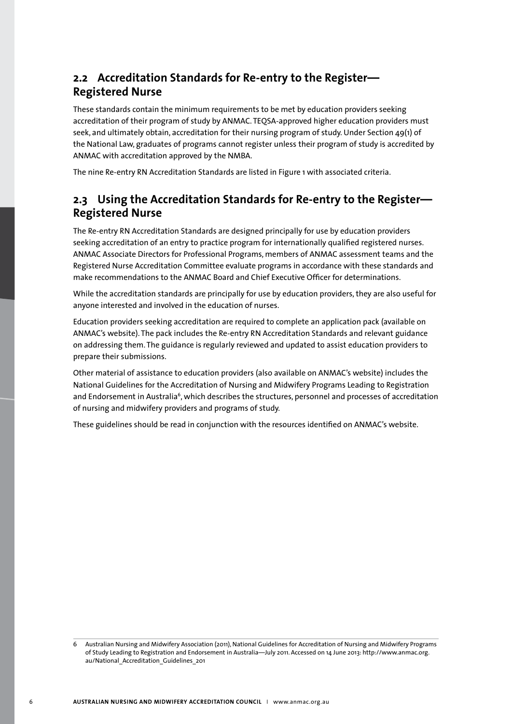# **2.2 Accreditation Standards for Re-entry to the Register— Registered Nurse**

These standards contain the minimum requirements to be met by education providers seeking accreditation of their program of study by ANMAC. TEQSA-approved higher education providers must seek, and ultimately obtain, accreditation for their nursing program of study. Under Section 49(1) of the National Law, graduates of programs cannot register unless their program of study is accredited by ANMAC with accreditation approved by the NMBA.

The nine Re-entry RN Accreditation Standards are listed in Figure 1 with associated criteria.

# **2.3 Using the Accreditation Standards for Re-entry to the Register— Registered Nurse**

The Re-entry RN Accreditation Standards are designed principally for use by education providers seeking accreditation of an entry to practice program for internationally qualified registered nurses. ANMAC Associate Directors for Professional Programs, members of ANMAC assessment teams and the Registered Nurse Accreditation Committee evaluate programs in accordance with these standards and make recommendations to the ANMAC Board and Chief Executive Officer for determinations.

While the accreditation standards are principally for use by education providers, they are also useful for anyone interested and involved in the education of nurses.

Education providers seeking accreditation are required to complete an application pack (available on ANMAC's website). The pack includes the Re-entry RN Accreditation Standards and relevant guidance on addressing them. The guidance is regularly reviewed and updated to assist education providers to prepare their submissions.

Other material of assistance to education providers (also available on ANMAC's website) includes the National Guidelines for the Accreditation of Nursing and Midwifery Programs Leading to Registration and Endorsement in Australia<sup>6</sup>, which describes the structures, personnel and processes of accreditation of nursing and midwifery providers and programs of study.

These guidelines should be read in conjunction with the resources identified on ANMAC's website.

Australian Nursing and Midwifery Association (2011), National Guidelines for Accreditation of Nursing and Midwifery Programs of Study Leading to Registration and Endorsement in Australia—July 2011. Accessed on 14 June 2013: http://www.anmac.org. au/National\_Accreditation\_Guidelines\_201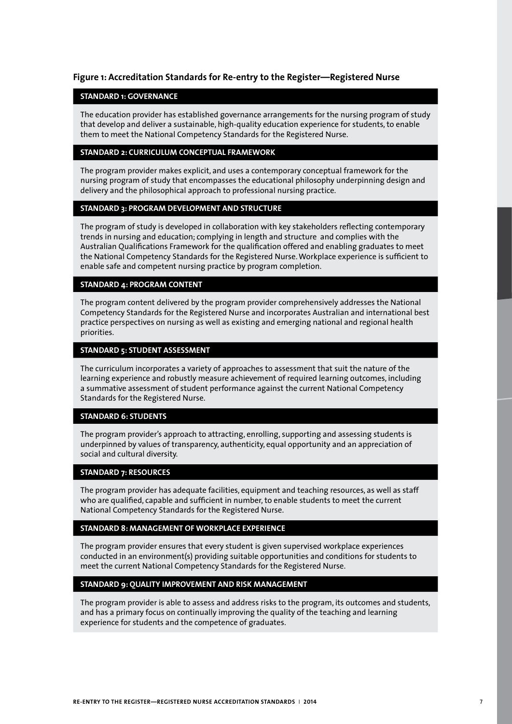#### **Figure 1: Accreditation Standards for Re-entry to the Register—Registered Nurse**

#### **STANDARD 1: GOVERNANCE**

The education provider has established governance arrangements for the nursing program of study that develop and deliver a sustainable, high-quality education experience for students, to enable them to meet the National Competency Standards for the Registered Nurse.

#### **STANDARD 2: CURRICULUM CONCEPTUAL FRAMEWORK**

The program provider makes explicit, and uses a contemporary conceptual framework for the nursing program of study that encompasses the educational philosophy underpinning design and delivery and the philosophical approach to professional nursing practice.

#### **STANDARD 3: PROGRAM DEVELOPMENT AND STRUCTURE**

The program of study is developed in collaboration with key stakeholders reflecting contemporary trends in nursing and education; complying in length and structure and complies with the Australian Qualifications Framework for the qualification offered and enabling graduates to meet the National Competency Standards for the Registered Nurse. Workplace experience is sufficient to enable safe and competent nursing practice by program completion.

#### **STANDARD 4: PROGRAM CONTENT**

The program content delivered by the program provider comprehensively addresses the National Competency Standards for the Registered Nurse and incorporates Australian and international best practice perspectives on nursing as well as existing and emerging national and regional health priorities.

#### **STANDARD 5: STUDENT ASSESSMENT**

The curriculum incorporates a variety of approaches to assessment that suit the nature of the learning experience and robustly measure achievement of required learning outcomes, including a summative assessment of student performance against the current National Competency Standards for the Registered Nurse.

#### **STANDARD 6: STUDENTS**

The program provider's approach to attracting, enrolling, supporting and assessing students is underpinned by values of transparency, authenticity, equal opportunity and an appreciation of social and cultural diversity.

#### **STANDARD 7: RESOURCES**

The program provider has adequate facilities, equipment and teaching resources, as well as staff who are qualified, capable and sufficient in number, to enable students to meet the current National Competency Standards for the Registered Nurse.

#### **STANDARD 8: MANAGEMENT OF WORKPLACE EXPERIENCE**

The program provider ensures that every student is given supervised workplace experiences conducted in an environment(s) providing suitable opportunities and conditions for students to meet the current National Competency Standards for the Registered Nurse.

#### **STANDARD 9: QUALITY IMPROVEMENT AND RISK MANAGEMENT**

The program provider is able to assess and address risks to the program, its outcomes and students, and has a primary focus on continually improving the quality of the teaching and learning experience for students and the competence of graduates.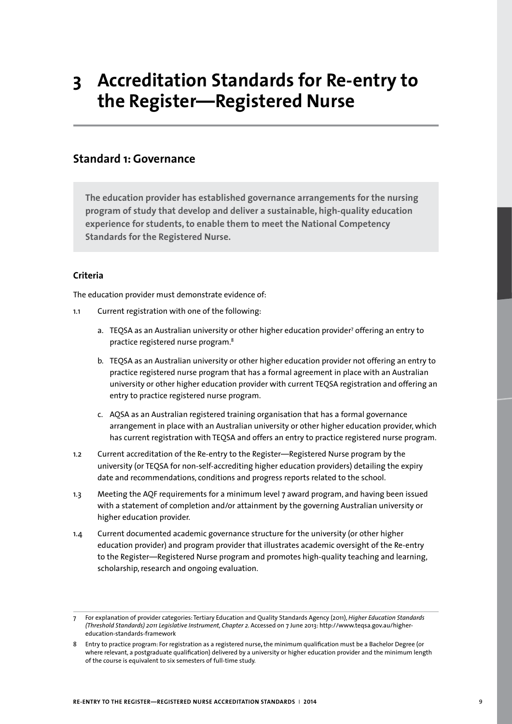# **3 Accreditation Standards for Re-entry to the Register—Registered Nurse**

## **Standard 1: Governance**

**The education provider has established governance arrangements for the nursing program of study that develop and deliver a sustainable, high-quality education experience for students, to enable them to meet the National Competency Standards for the Registered Nurse.** 

#### **Criteria**

The education provider must demonstrate evidence of:

- 1.1 Current registration with one of the following:
	- a. TEQSA as an Australian university or other higher education provider<sup>7</sup> offering an entry to practice registered nurse program.8
	- b. TEQSA as an Australian university or other higher education provider not offering an entry to practice registered nurse program that has a formal agreement in place with an Australian university or other higher education provider with current TEQSA registration and offering an entry to practice registered nurse program.
	- c. AQSA as an Australian registered training organisation that has a formal governance arrangement in place with an Australian university or other higher education provider, which has current registration with TEQSA and offers an entry to practice registered nurse program.
- 1.2 Current accreditation of the Re-entry to the Register—Registered Nurse program by the university (or TEQSA for non-self-accrediting higher education providers) detailing the expiry date and recommendations, conditions and progress reports related to the school.
- 1.3 Meeting the AQF requirements for a minimum level 7 award program, and having been issued with a statement of completion and/or attainment by the governing Australian university or higher education provider.
- 1.4 Current documented academic governance structure for the university (or other higher education provider) and program provider that illustrates academic oversight of the Re-entry to the Register—Registered Nurse program and promotes high-quality teaching and learning, scholarship, research and ongoing evaluation.

<sup>7</sup> For explanation of provider categories: Tertiary Education and Quality Standards Agency (2011), *Higher Education Standards (Threshold Standards) 2011 Legislative Instrument, Chapter 2*. Accessed on 7 June 2013: http://www.teqsa.gov.au/highereducation-standards-framework

<sup>8</sup> Entry to practice program: For registration as a registered nurse**,** the minimum qualification must be a Bachelor Degree (or where relevant, a postgraduate qualification) delivered by a university or higher education provider and the minimum length of the course is equivalent to six semesters of full-time study.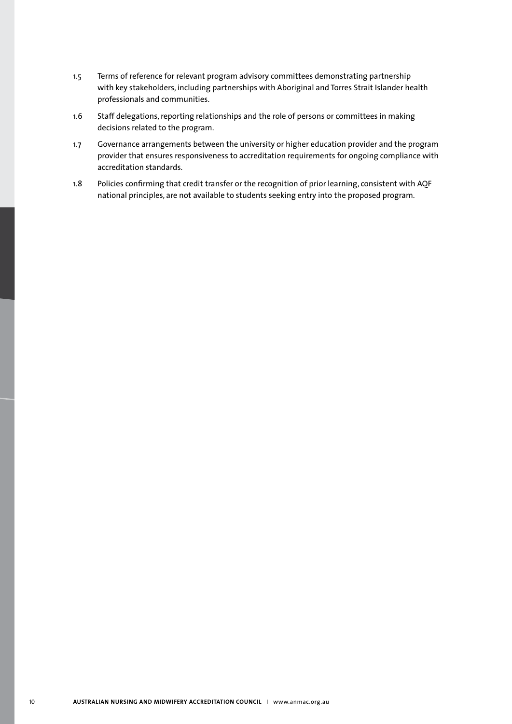- 1.5 Terms of reference for relevant program advisory committees demonstrating partnership with key stakeholders, including partnerships with Aboriginal and Torres Strait Islander health professionals and communities.
- 1.6 Staff delegations, reporting relationships and the role of persons or committees in making decisions related to the program.
- 1.7 Governance arrangements between the university or higher education provider and the program provider that ensures responsiveness to accreditation requirements for ongoing compliance with accreditation standards.
- 1.8 Policies confirming that credit transfer or the recognition of prior learning, consistent with AQF national principles, are not available to students seeking entry into the proposed program.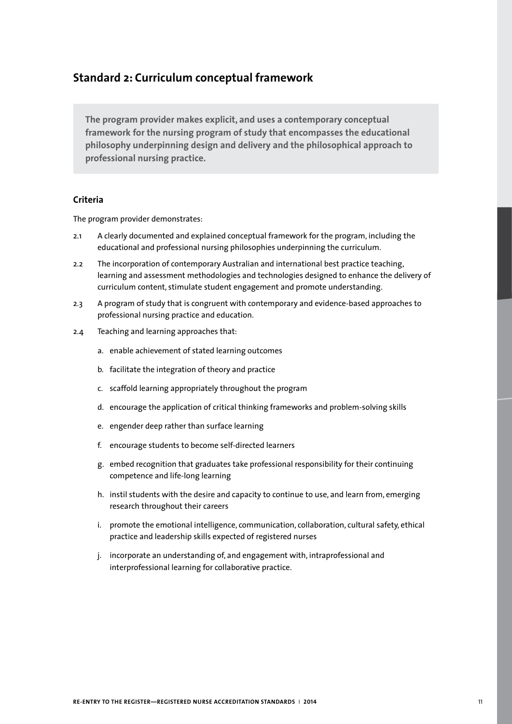# **Standard 2: Curriculum conceptual framework**

**The program provider makes explicit, and uses a contemporary conceptual framework for the nursing program of study that encompasses the educational philosophy underpinning design and delivery and the philosophical approach to professional nursing practice.**

#### **Criteria**

The program provider demonstrates:

- 2.1 A clearly documented and explained conceptual framework for the program, including the educational and professional nursing philosophies underpinning the curriculum.
- 2.2 The incorporation of contemporary Australian and international best practice teaching, learning and assessment methodologies and technologies designed to enhance the delivery of curriculum content, stimulate student engagement and promote understanding.
- 2.3 A program of study that is congruent with contemporary and evidence-based approaches to professional nursing practice and education.
- 2.4 Teaching and learning approaches that:
	- a. enable achievement of stated learning outcomes
	- b. facilitate the integration of theory and practice
	- c. scaffold learning appropriately throughout the program
	- d. encourage the application of critical thinking frameworks and problem-solving skills
	- e. engender deep rather than surface learning
	- f. encourage students to become self-directed learners
	- g. embed recognition that graduates take professional responsibility for their continuing competence and life-long learning
	- h. instil students with the desire and capacity to continue to use, and learn from, emerging research throughout their careers
	- i. promote the emotional intelligence, communication, collaboration, cultural safety, ethical practice and leadership skills expected of registered nurses
	- j. incorporate an understanding of, and engagement with, intraprofessional and interprofessional learning for collaborative practice.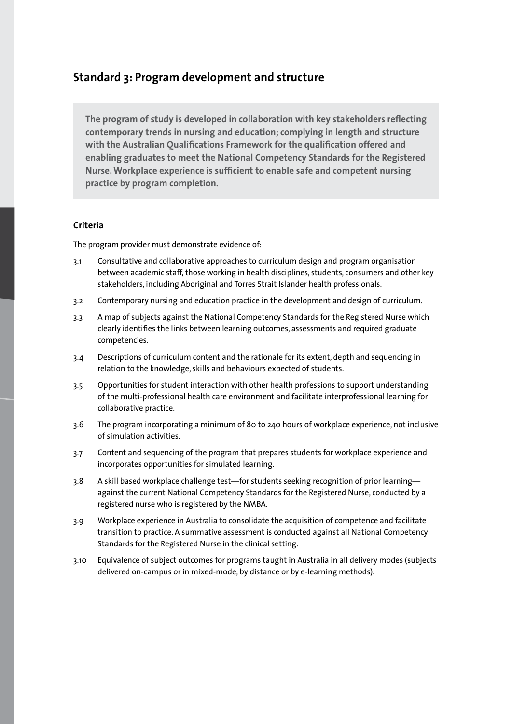### **Standard 3: Program development and structure**

**The program of study is developed in collaboration with key stakeholders reflecting contemporary trends in nursing and education; complying in length and structure with the Australian Qualifications Framework for the qualification offered and enabling graduates to meet the National Competency Standards for the Registered Nurse. Workplace experience is sufficient to enable safe and competent nursing practice by program completion.** 

#### **Criteria**

- 3.1 Consultative and collaborative approaches to curriculum design and program organisation between academic staff, those working in health disciplines, students, consumers and other key stakeholders, including Aboriginal and Torres Strait Islander health professionals.
- 3.2 Contemporary nursing and education practice in the development and design of curriculum.
- 3.3 A map of subjects against the National Competency Standards for the Registered Nurse which clearly identifies the links between learning outcomes, assessments and required graduate competencies.
- 3.4 Descriptions of curriculum content and the rationale for its extent, depth and sequencing in relation to the knowledge, skills and behaviours expected of students.
- 3.5 Opportunities for student interaction with other health professions to support understanding of the multi-professional health care environment and facilitate interprofessional learning for collaborative practice.
- 3.6 The program incorporating a minimum of 80 to 240 hours of workplace experience, not inclusive of simulation activities.
- 3.7 Content and sequencing of the program that prepares students for workplace experience and incorporates opportunities for simulated learning.
- 3.8 A skill based workplace challenge test—for students seeking recognition of prior learning against the current National Competency Standards for the Registered Nurse, conducted by a registered nurse who is registered by the NMBA.
- 3.9 Workplace experience in Australia to consolidate the acquisition of competence and facilitate transition to practice. A summative assessment is conducted against all National Competency Standards for the Registered Nurse in the clinical setting.
- 3.10 Equivalence of subject outcomes for programs taught in Australia in all delivery modes (subjects delivered on-campus or in mixed-mode, by distance or by e-learning methods).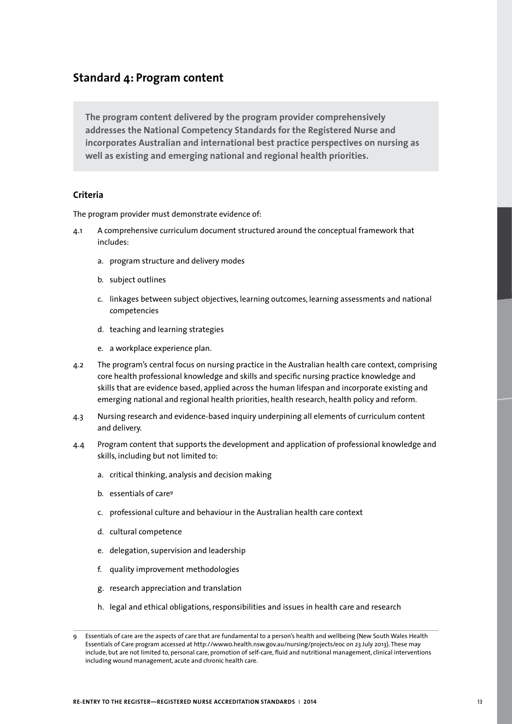# **Standard 4: Program content**

**The program content delivered by the program provider comprehensively addresses the National Competency Standards for the Registered Nurse and incorporates Australian and international best practice perspectives on nursing as well as existing and emerging national and regional health priorities.**

#### **Criteria**

- 4.1 A comprehensive curriculum document structured around the conceptual framework that includes:
	- a. program structure and delivery modes
	- b. subject outlines
	- c. linkages between subject objectives, learning outcomes, learning assessments and national competencies
	- d. teaching and learning strategies
	- e. a workplace experience plan.
- 4.2 The program's central focus on nursing practice in the Australian health care context, comprising core health professional knowledge and skills and specific nursing practice knowledge and skills that are evidence based, applied across the human lifespan and incorporate existing and emerging national and regional health priorities, health research, health policy and reform.
- 4.3 Nursing research and evidence-based inquiry underpining all elements of curriculum content and delivery.
- 4.4 Program content that supports the development and application of professional knowledge and skills, including but not limited to:
	- a. critical thinking, analysis and decision making
	- b. essentials of care<sup>9</sup>
	- c. professional culture and behaviour in the Australian health care context
	- d. cultural competence
	- e. delegation, supervision and leadership
	- f. quality improvement methodologies
	- g. research appreciation and translation
	- h. legal and ethical obligations, responsibilities and issues in health care and research

<sup>9</sup> Essentials of care are the aspects of care that are fundamental to a person's health and wellbeing (New South Wales Health Essentials of Care program accessed at http://www0.health.nsw.gov.au/nursing/projects/eoc on 23 July 2013). These may include, but are not limited to, personal care, promotion of self-care, fluid and nutritional management, clinical interventions including wound management, acute and chronic health care.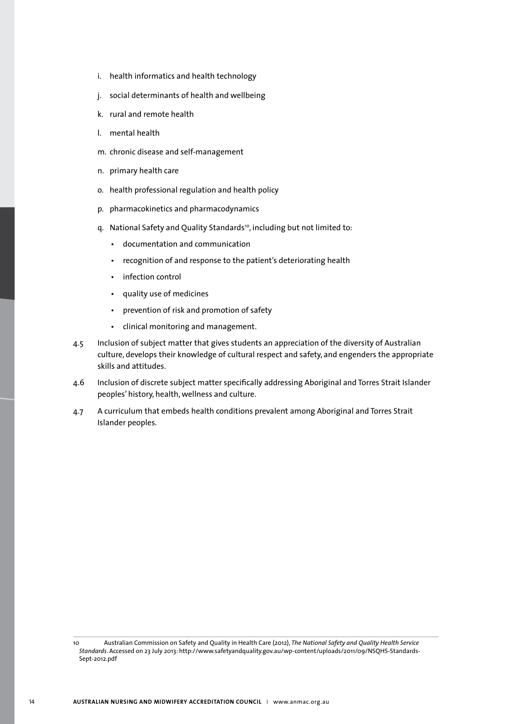- i. health informatics and health technology
- j. social determinants of health and wellbeing
- k. rural and remote health
- l. mental health
- m. chronic disease and self-management
- n. primary health care
- o. health professional regulation and health policy
- p. pharmacokinetics and pharmacodynamics
- g. National Safety and Quality Standards<sup>10</sup>, including but not limited to:
	- documentation and communication
	- recognition of and response to the patient's deteriorating health
	- infection control
	- quality use of medicines
	- prevention of risk and promotion of safety
	- clinical monitoring and management.
- 4.5 Inclusion of subject matter that gives students an appreciation of the diversity of Australian culture, develops their knowledge of cultural respect and safety, and engenders the appropriate skills and attitudes.
- 4.6 Inclusion of discrete subject matter specifically addressing Aboriginal and Torres Strait Islander peoples' history, health, wellness and culture.
- 4.7 A curriculum that embeds health conditions prevalent among Aboriginal and Torres Strait Islander peoples.

<sup>10</sup> Australian Commission on Safety and Quality in Health Care (2012), *The National Safety and Quality Health Service Standards*. Accessed on 23 July 2013: http://www.safetyandquality.gov.au/wp-content/uploads/2011/09/NSQHS-Standards-Sept-2012.pdf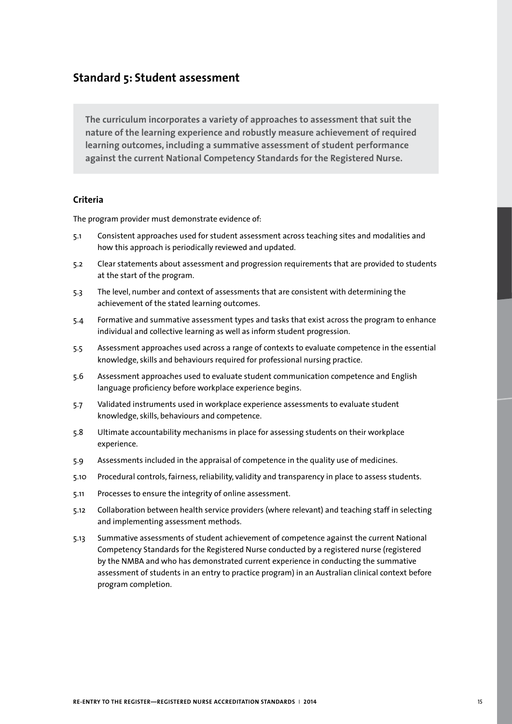## **Standard 5: Student assessment**

**The curriculum incorporates a variety of approaches to assessment that suit the nature of the learning experience and robustly measure achievement of required learning outcomes, including a summative assessment of student performance against the current National Competency Standards for the Registered Nurse.**

#### **Criteria**

- 5.1 Consistent approaches used for student assessment across teaching sites and modalities and how this approach is periodically reviewed and updated.
- 5.2 Clear statements about assessment and progression requirements that are provided to students at the start of the program.
- 5.3 The level, number and context of assessments that are consistent with determining the achievement of the stated learning outcomes.
- 5.4 Formative and summative assessment types and tasks that exist across the program to enhance individual and collective learning as well as inform student progression.
- 5.5 Assessment approaches used across a range of contexts to evaluate competence in the essential knowledge, skills and behaviours required for professional nursing practice.
- 5.6 Assessment approaches used to evaluate student communication competence and English language proficiency before workplace experience begins.
- 5.7 Validated instruments used in workplace experience assessments to evaluate student knowledge, skills, behaviours and competence.
- 5.8 Ultimate accountability mechanisms in place for assessing students on their workplace experience.
- 5.9 Assessments included in the appraisal of competence in the quality use of medicines.
- 5.10 Procedural controls, fairness, reliability, validity and transparency in place to assess students.
- 5.11 Processes to ensure the integrity of online assessment.
- 5.12 Collaboration between health service providers (where relevant) and teaching staff in selecting and implementing assessment methods.
- 5.13 Summative assessments of student achievement of competence against the current National Competency Standards for the Registered Nurse conducted by a registered nurse (registered by the NMBA and who has demonstrated current experience in conducting the summative assessment of students in an entry to practice program) in an Australian clinical context before program completion.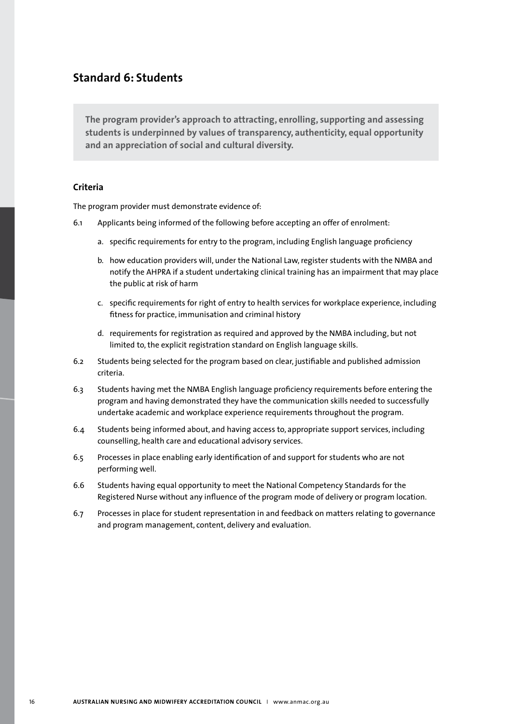# **Standard 6: Students**

**The program provider's approach to attracting, enrolling, supporting and assessing students is underpinned by values of transparency, authenticity, equal opportunity and an appreciation of social and cultural diversity.**

#### **Criteria**

- 6.1 Applicants being informed of the following before accepting an offer of enrolment:
	- a. specific requirements for entry to the program, including English language proficiency
	- b. how education providers will, under the National Law, register students with the NMBA and notify the AHPRA if a student undertaking clinical training has an impairment that may place the public at risk of harm
	- c. specific requirements for right of entry to health services for workplace experience, including fitness for practice, immunisation and criminal history
	- d. requirements for registration as required and approved by the NMBA including, but not limited to, the explicit registration standard on English language skills.
- 6.2 Students being selected for the program based on clear, justifiable and published admission criteria.
- 6.3 Students having met the NMBA English language proficiency requirements before entering the program and having demonstrated they have the communication skills needed to successfully undertake academic and workplace experience requirements throughout the program.
- 6.4 Students being informed about, and having access to, appropriate support services, including counselling, health care and educational advisory services.
- 6.5 Processes in place enabling early identification of and support for students who are not performing well.
- 6.6 Students having equal opportunity to meet the National Competency Standards for the Registered Nurse without any influence of the program mode of delivery or program location.
- 6.7 Processes in place for student representation in and feedback on matters relating to governance and program management, content, delivery and evaluation.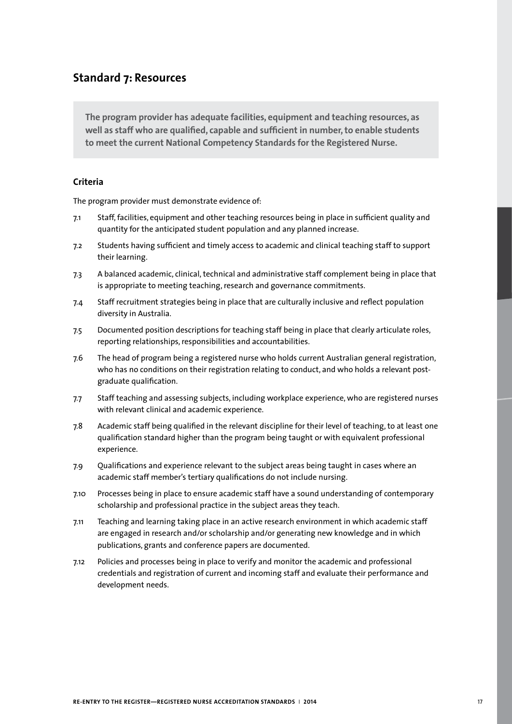## **Standard 7: Resources**

**The program provider has adequate facilities, equipment and teaching resources, as well as staff who are qualified, capable and sufficient in number, to enable students to meet the current National Competency Standards for the Registered Nurse.**

#### **Criteria**

- 7.1 Staff, facilities, equipment and other teaching resources being in place in sufficient quality and quantity for the anticipated student population and any planned increase.
- 7.2 Students having sufficient and timely access to academic and clinical teaching staff to support their learning.
- 7.3 A balanced academic, clinical, technical and administrative staff complement being in place that is appropriate to meeting teaching, research and governance commitments.
- 7.4 Staff recruitment strategies being in place that are culturally inclusive and reflect population diversity in Australia.
- 7.5 Documented position descriptions for teaching staff being in place that clearly articulate roles, reporting relationships, responsibilities and accountabilities.
- 7.6 The head of program being a registered nurse who holds current Australian general registration, who has no conditions on their registration relating to conduct, and who holds a relevant postgraduate qualification.
- 7.7 Staff teaching and assessing subjects, including workplace experience, who are registered nurses with relevant clinical and academic experience.
- 7.8 Academic staff being qualified in the relevant discipline for their level of teaching, to at least one qualification standard higher than the program being taught or with equivalent professional experience.
- 7.9 Qualifications and experience relevant to the subject areas being taught in cases where an academic staff member's tertiary qualifications do not include nursing.
- 7.10 Processes being in place to ensure academic staff have a sound understanding of contemporary scholarship and professional practice in the subject areas they teach.
- 7.11 Teaching and learning taking place in an active research environment in which academic staff are engaged in research and/or scholarship and/or generating new knowledge and in which publications, grants and conference papers are documented.
- 7.12 Policies and processes being in place to verify and monitor the academic and professional credentials and registration of current and incoming staff and evaluate their performance and development needs.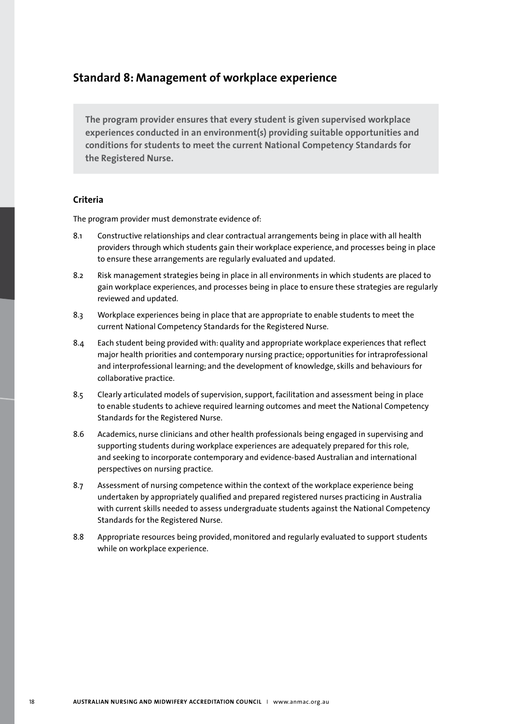## **Standard 8: Management of workplace experience**

**The program provider ensures that every student is given supervised workplace experiences conducted in an environment(s) providing suitable opportunities and conditions for students to meet the current National Competency Standards for the Registered Nurse.**

#### **Criteria**

- 8.1 Constructive relationships and clear contractual arrangements being in place with all health providers through which students gain their workplace experience, and processes being in place to ensure these arrangements are regularly evaluated and updated.
- 8.2 Risk management strategies being in place in all environments in which students are placed to gain workplace experiences, and processes being in place to ensure these strategies are regularly reviewed and updated.
- 8.3 Workplace experiences being in place that are appropriate to enable students to meet the current National Competency Standards for the Registered Nurse.
- 8.4 Each student being provided with: quality and appropriate workplace experiences that reflect major health priorities and contemporary nursing practice; opportunities for intraprofessional and interprofessional learning; and the development of knowledge, skills and behaviours for collaborative practice.
- 8.5 Clearly articulated models of supervision, support, facilitation and assessment being in place to enable students to achieve required learning outcomes and meet the National Competency Standards for the Registered Nurse.
- 8.6 Academics, nurse clinicians and other health professionals being engaged in supervising and supporting students during workplace experiences are adequately prepared for this role, and seeking to incorporate contemporary and evidence-based Australian and international perspectives on nursing practice.
- 8.7 Assessment of nursing competence within the context of the workplace experience being undertaken by appropriately qualified and prepared registered nurses practicing in Australia with current skills needed to assess undergraduate students against the National Competency Standards for the Registered Nurse.
- 8.8 Appropriate resources being provided, monitored and regularly evaluated to support students while on workplace experience.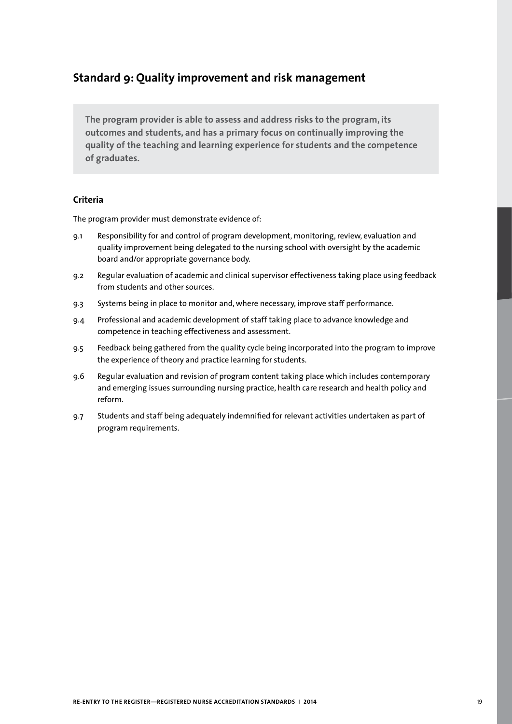# **Standard 9: Quality improvement and risk management**

**The program provider is able to assess and address risks to the program, its outcomes and students, and has a primary focus on continually improving the quality of the teaching and learning experience for students and the competence of graduates.**

#### **Criteria**

- 9.1 Responsibility for and control of program development, monitoring, review, evaluation and quality improvement being delegated to the nursing school with oversight by the academic board and/or appropriate governance body.
- 9.2 Regular evaluation of academic and clinical supervisor effectiveness taking place using feedback from students and other sources.
- 9.3 Systems being in place to monitor and, where necessary, improve staff performance.
- 9.4 Professional and academic development of staff taking place to advance knowledge and competence in teaching effectiveness and assessment.
- 9.5 Feedback being gathered from the quality cycle being incorporated into the program to improve the experience of theory and practice learning for students.
- 9.6 Regular evaluation and revision of program content taking place which includes contemporary and emerging issues surrounding nursing practice, health care research and health policy and reform.
- 9.7 Students and staff being adequately indemnified for relevant activities undertaken as part of program requirements.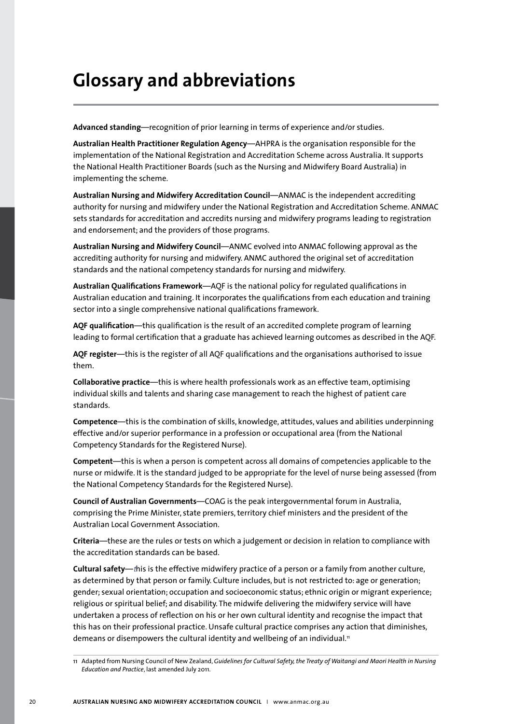# **Glossary and abbreviations**

**Advanced standing***—*recognition of prior learning in terms of experience and/or studies.

**Australian Health Practitioner Regulation Agency**—AHPRA is the organisation responsible for the implementation of the National Registration and Accreditation Scheme across Australia. It supports the National Health Practitioner Boards (such as the Nursing and Midwifery Board Australia) in implementing the scheme.

**Australian Nursing and Midwifery Accreditation Council**—ANMAC is the independent accrediting authority for nursing and midwifery under the National Registration and Accreditation Scheme. ANMAC sets standards for accreditation and accredits nursing and midwifery programs leading to registration and endorsement; and the providers of those programs.

**Australian Nursing and Midwifery Council**—ANMC evolved into ANMAC following approval as the accrediting authority for nursing and midwifery. ANMC authored the original set of accreditation standards and the national competency standards for nursing and midwifery.

**Australian Qualifications Framework***—*AQF is the national policy for regulated qualifications in Australian education and training. It incorporates the qualifications from each education and training sector into a single comprehensive national qualifications framework.

**AQF qualification**—this qualification is the result of an accredited complete program of learning leading to formal certification that a graduate has achieved learning outcomes as described in the AQF.

**AQF register**—this is the register of all AQF qualifications and the organisations authorised to issue them.

**Collaborative practice**—this is where health professionals work as an effective team, optimising individual skills and talents and sharing case management to reach the highest of patient care standards.

**Competence**—this is the combination of skills, knowledge, attitudes, values and abilities underpinning effective and/or superior performance in a profession or occupational area (from the National Competency Standards for the Registered Nurse).

**Competent**—this is when a person is competent across all domains of competencies applicable to the nurse or midwife. It is the standard judged to be appropriate for the level of nurse being assessed (from the National Competency Standards for the Registered Nurse).

**Council of Australian Governments***—*COAG is the peak intergovernmental forum in Australia, comprising the Prime Minister, state premiers, territory chief ministers and the president of the Australian Local Government Association.

**Criteria**—these are the rules or tests on which a judgement or decision in relation to compliance with the accreditation standards can be based.

**Cultural safety**—*t*his is the effective midwifery practice of a person or a family from another culture, as determined by that person or family. Culture includes, but is not restricted to: age or generation; gender; sexual orientation; occupation and socioeconomic status; ethnic origin or migrant experience; religious or spiritual belief; and disability. The midwife delivering the midwifery service will have undertaken a process of reflection on his or her own cultural identity and recognise the impact that this has on their professional practice. Unsafe cultural practice comprises any action that diminishes, demeans or disempowers the cultural identity and wellbeing of an individual.<sup>11</sup>

<sup>11</sup> Adapted from Nursing Council of New Zealand, *Guidelines for Cultural Safety, the Treaty of Waitangi and Maori Health in Nursing Education and Practice*, last amended July 2011.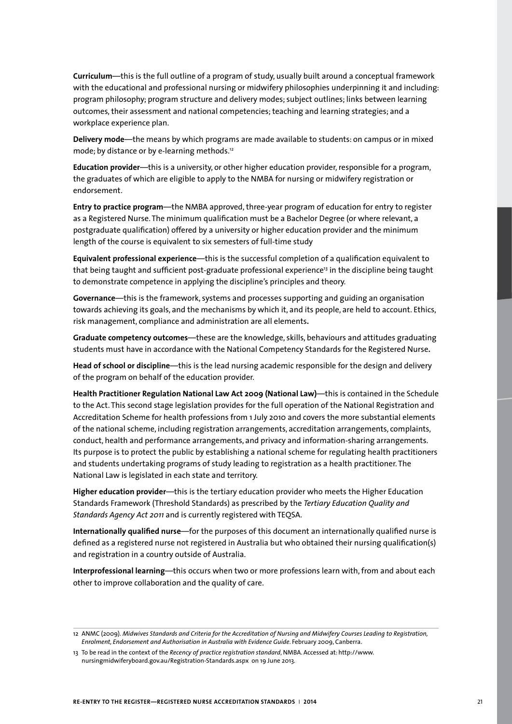**Curriculum**—this is the full outline of a program of study, usually built around a conceptual framework with the educational and professional nursing or midwifery philosophies underpinning it and including: program philosophy; program structure and delivery modes; subject outlines; links between learning outcomes, their assessment and national competencies; teaching and learning strategies; and a workplace experience plan.

**Delivery mode**—the means by which programs are made available to students: on campus or in mixed mode; by distance or by e-learning methods.<sup>12</sup>

**Education provider**—this is a university, or other higher education provider, responsible for a program, the graduates of which are eligible to apply to the NMBA for nursing or midwifery registration or endorsement.

**Entry to practice program***—*the NMBA approved, three-year program of education for entry to register as a Registered Nurse. The minimum qualification must be a Bachelor Degree (or where relevant, a postgraduate qualification) offered by a university or higher education provider and the minimum length of the course is equivalent to six semesters of full-time study

**Equivalent professional experience**—this is the successful completion of a qualification equivalent to that being taught and sufficient post-graduate professional experience<sup>13</sup> in the discipline being taught to demonstrate competence in applying the discipline's principles and theory.

**Governance***—*this is the framework, systems and processes supporting and guiding an organisation towards achieving its goals, and the mechanisms by which it, and its people, are held to account. Ethics, risk management, compliance and administration are all elements**.** 

**Graduate competency outcomes**—these are the knowledge, skills, behaviours and attitudes graduating students must have in accordance with the National Competency Standards for the Registered Nurse**.**

**Head of school or discipline**—this is the lead nursing academic responsible for the design and delivery of the program on behalf of the education provider.

**Health Practitioner Regulation National Law Act 2009 (National Law)**—this is contained in the Schedule to the Act. This second stage legislation provides for the full operation of the National Registration and Accreditation Scheme for health professions from 1 July 2010 and covers the more substantial elements of the national scheme, including registration arrangements, accreditation arrangements, complaints, conduct, health and performance arrangements, and privacy and information-sharing arrangements. Its purpose is to protect the public by establishing a national scheme for regulating health practitioners and students undertaking programs of study leading to registration as a health practitioner. The National Law is legislated in each state and territory.

**Higher education provider**—this is the tertiary education provider who meets the Higher Education Standards Framework (Threshold Standards) as prescribed by the *Tertiary Education Quality and Standards Agency Act 2011* and is currently registered with TEQSA.

**Internationally qualified nurse***—*for the purposes of this document an internationally qualified nurse is defined as a registered nurse not registered in Australia but who obtained their nursing qualification(s) and registration in a country outside of Australia.

**Interprofessional learning***—*this occurs when two or more professions learn with, from and about each other to improve collaboration and the quality of care.

<sup>12</sup> ANMC (2009). *Midwives Standards and Criteria for the Accreditation of Nursing and Midwifery Courses Leading to Registration, Enrolment, Endorsement and Authorisation in Australia with Evidence Guide*. February 2009, Canberra.

<sup>13</sup> To be read in the context of the *Recency of practice registration standard*, NMBA. Accessed at: http://www. nursingmidwiferyboard.gov.au/Registration-Standards.aspx on 19 June 2013.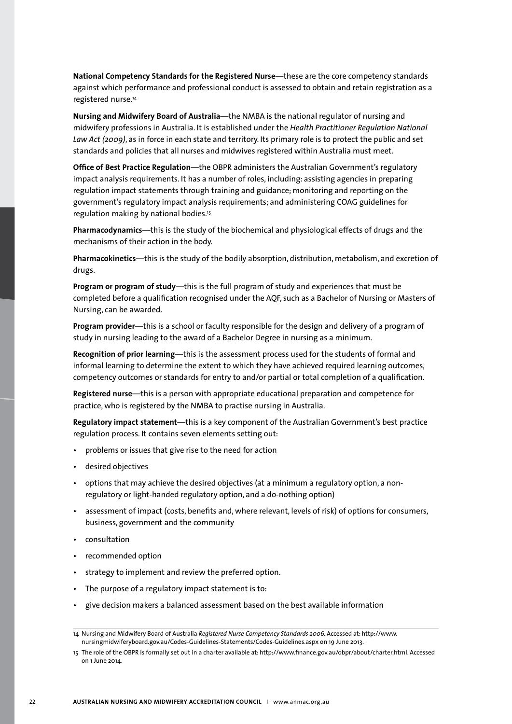**National Competency Standards for the Registered Nurse***—*these are the core competency standards against which performance and professional conduct is assessed to obtain and retain registration as a registered nurse.14

**Nursing and Midwifery Board of Australia***—*the NMBA is the national regulator of nursing and midwifery professions in Australia. It is established under the *Health Practitioner Regulation National Law Act (2009)*, as in force in each state and territory. Its primary role is to protect the public and set standards and policies that all nurses and midwives registered within Australia must meet.

**Office of Best Practice Regulation**—the OBPR administers the Australian Government's regulatory impact analysis requirements. It has a number of roles, including: assisting agencies in preparing regulation impact statements through training and guidance; monitoring and reporting on the government's regulatory impact analysis requirements; and administering COAG guidelines for regulation making by national bodies.<sup>15</sup>

**Pharmacodynamics**—this is the study of the biochemical and physiological effects of drugs and the mechanisms of their action in the body.

**Pharmacokinetics**—this is the study of the bodily absorption, distribution, metabolism, and excretion of drugs.

**Program or program of study***—*this is the full program of study and experiences that must be completed before a qualification recognised under the AQF, such as a Bachelor of Nursing or Masters of Nursing, can be awarded.

**Program provider***—*this is a school or faculty responsible for the design and delivery of a program of study in nursing leading to the award of a Bachelor Degree in nursing as a minimum.

**Recognition of prior learning***—*this is the assessment process used for the students of formal and informal learning to determine the extent to which they have achieved required learning outcomes, competency outcomes or standards for entry to and/or partial or total completion of a qualification.

**Registered nurse***—*this is a person with appropriate educational preparation and competence for practice, who is registered by the NMBA to practise nursing in Australia.

**Regulatory impact statement**—this is a key component of the Australian Government's best practice regulation process. It contains seven elements setting out:

- problems or issues that give rise to the need for action
- desired objectives
- options that may achieve the desired objectives (at a minimum a regulatory option, a nonregulatory or light-handed regulatory option, and a do-nothing option)
- assessment of impact (costs, benefits and, where relevant, levels of risk) of options for consumers, business, government and the community
- consultation
- recommended option
- strategy to implement and review the preferred option.
- The purpose of a regulatory impact statement is to:
- give decision makers a balanced assessment based on the best available information

<sup>14</sup> Nursing and Midwifery Board of Australia *Registered Nurse Competency Standards 2006.* Accessed at: http://www. nursingmidwiferyboard.gov.au/Codes-Guidelines-Statements/Codes-Guidelines.aspx on 19 June 2013.

<sup>15</sup> The role of the OBPR is formally set out in a charter available at: http://www.finance.gov.au/obpr/about/charter.html. Accessed on 1 June 2014.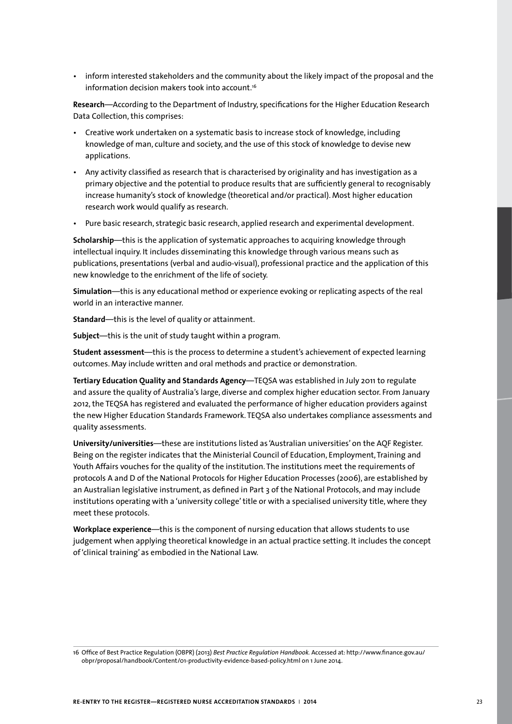• inform interested stakeholders and the community about the likely impact of the proposal and the information decision makers took into account.<sup>16</sup>

**Research***—*According to the Department of Industry, specifications for the Higher Education Research Data Collection, this comprises:

- Creative work undertaken on a systematic basis to increase stock of knowledge, including knowledge of man, culture and society, and the use of this stock of knowledge to devise new applications.
- Any activity classified as research that is characterised by originality and has investigation as a primary objective and the potential to produce results that are sufficiently general to recognisably increase humanity's stock of knowledge (theoretical and/or practical). Most higher education research work would qualify as research.
- Pure basic research, strategic basic research, applied research and experimental development.

**Scholarship**—this is the application of systematic approaches to acquiring knowledge through intellectual inquiry. It includes disseminating this knowledge through various means such as publications, presentations (verbal and audio-visual), professional practice and the application of this new knowledge to the enrichment of the life of society.

**Simulation***—*this is any educational method or experience evoking or replicating aspects of the real world in an interactive manner.

**Standard***—*this is the level of quality or attainment.

**Subject**—this is the unit of study taught within a program.

**Student assessment**—this is the process to determine a student's achievement of expected learning outcomes. May include written and oral methods and practice or demonstration.

**Tertiary Education Quality and Standards Agency***—*TEQSA was established in July 2011 to regulate and assure the quality of Australia's large, diverse and complex higher education sector. From January 2012, the TEQSA has registered and evaluated the performance of higher education providers against the new Higher Education Standards Framework. TEQSA also undertakes compliance assessments and quality assessments.

**University/universities**—these are institutions listed as 'Australian universities' on the AQF Register. Being on the register indicates that the Ministerial Council of Education, Employment, Training and Youth Affairs vouches for the quality of the institution. The institutions meet the requirements of protocols A and D of the National Protocols for Higher Education Processes (2006), are established by an Australian legislative instrument, as defined in Part 3 of the National Protocols, and may include institutions operating with a 'university college' title or with a specialised university title, where they meet these protocols.

**Workplace experience**—this is the component of nursing education that allows students to use judgement when applying theoretical knowledge in an actual practice setting. It includes the concept of 'clinical training' as embodied in the National Law.

<sup>16</sup> Office of Best Practice Regulation (OBPR) (2013) *Best Practice Regulation Handbook.* Accessed at: http://www.finance.gov.au/ obpr/proposal/handbook/Content/01-productivity-evidence-based-policy.html on 1 June 2014.